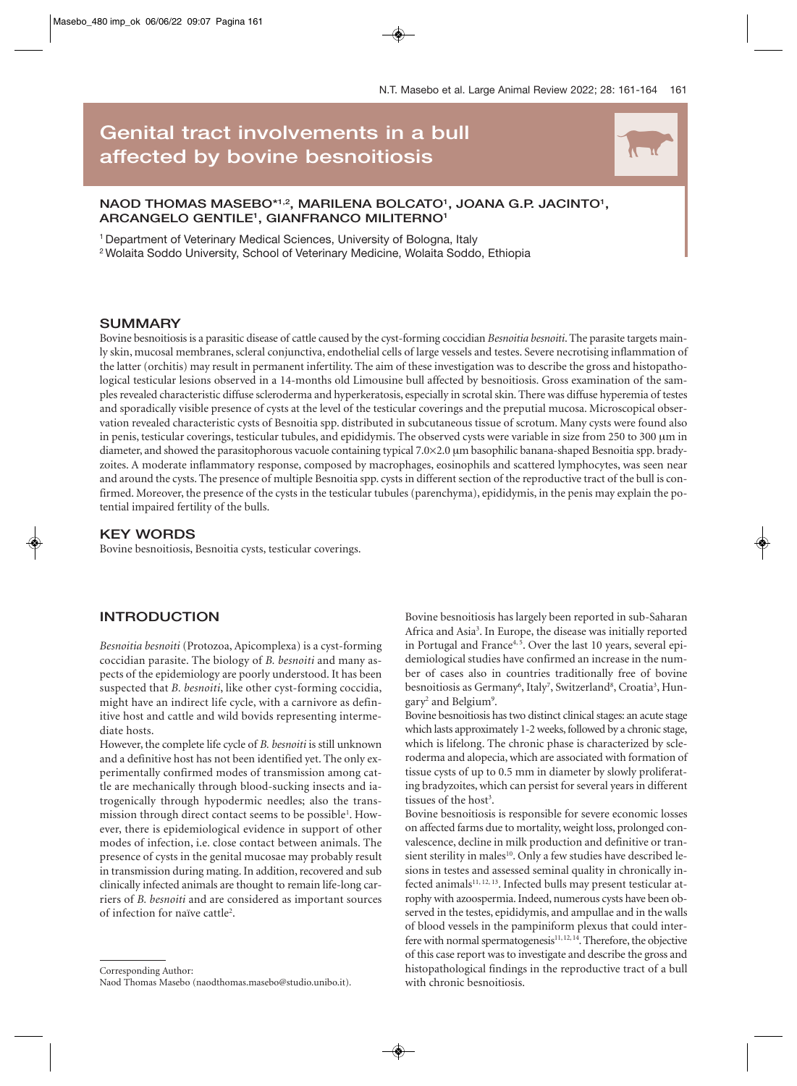# **Genital tract involvements in a bull affected by bovine besnoitiosis** N

# NAOD THOMAS MASEBO\*1,2, MARILENA BOLCATO<sup>1</sup>, JOANA G.P. JACINTO<sup>1</sup>, **ARCANGELO GENTILE1 , GIANFRANCO MILITERNO1**

<sup>1</sup> Department of Veterinary Medical Sciences, University of Bologna, Italy

2 Wolaita Soddo University, School of Veterinary Medicine, Wolaita Soddo, Ethiopia

# **SUMMARY**

Bovine besnoitiosis is a parasitic disease of cattle caused by the cyst-forming coccidian *Besnoitia besnoiti*. The parasite targets mainly skin, mucosal membranes, scleral conjunctiva, endothelial cells of large vessels and testes. Severe necrotising inflammation of the latter (orchitis) may result in permanent infertility. The aim of these investigation was to describe the gross and histopathological testicular lesions observed in a 14-months old Limousine bull affected by besnoitiosis. Gross examination of the samples revealed characteristic diffuse scleroderma and hyperkeratosis, especially in scrotal skin. There was diffuse hyperemia of testes and sporadically visible presence of cysts at the level of the testicular coverings and the preputial mucosa. Microscopical observation revealed characteristic cysts of Besnoitia spp. distributed in subcutaneous tissue of scrotum. Many cysts were found also in penis, testicular coverings, testicular tubules, and epididymis. The observed cysts were variable in size from 250 to 300 μm in diameter, and showed the parasitophorous vacuole containing typical 7.0×2.0 μm basophilic banana-shaped Besnoitia spp. bradyzoites. A moderate inflammatory response, composed by macrophages, eosinophils and scattered lymphocytes, was seen near and around the cysts. The presence of multiple Besnoitia spp. cysts in different section of the reproductive tract of the bull is confirmed. Moreover, the presence of the cysts in the testicular tubules (parenchyma), epididymis, in the penis may explain the potential impaired fertility of the bulls.

# **KEY WORDS**

Bovine besnoitiosis, Besnoitia cysts, testicular coverings.

# **INTRODUCTION**

*Besnoitia besnoiti* (Protozoa, Apicomplexa) is a cyst-forming coccidian parasite. The biology of *B. besnoiti* and many aspects of the epidemiology are poorly understood. It has been suspected that *B. besnoiti*, like other cyst-forming coccidia, might have an indirect life cycle, with a carnivore as definitive host and cattle and wild bovids representing intermediate hosts.

However, the complete life cycle of *B. besnoiti* is still unknown and a definitive host has not been identified yet. The only experimentally confirmed modes of transmission among cattle are mechanically through blood-sucking insects and iatrogenically through hypodermic needles; also the transmission through direct contact seems to be possible<sup>1</sup>. However, there is epidemiological evidence in support of other modes of infection, i.e. close contact between animals. The presence of cysts in the genital mucosae may probably result in transmission during mating. In addition, recovered and sub clinically infected animals are thought to remain life-long carriers of *B. besnoiti* and are considered as important sources of infection for naïve cattle<sup>2</sup>.

Corresponding Author:

Bovine besnoitiosis has largely been reported in sub-Saharan Africa and Asia<sup>3</sup>. In Europe, the disease was initially reported in Portugal and France<sup>4, 5</sup>. Over the last 10 years, several epidemiological studies have confirmed an increase in the number of cases also in countries traditionally free of bovine besnoitiosis as Germany<sup>6</sup>, Italy<sup>7</sup>, Switzerland<sup>8</sup>, Croatia<sup>3</sup>, Hungary<sup>2</sup> and Belgium<sup>9</sup>.

Bovine besnoitiosis has two distinct clinical stages: an acute stage which lasts approximately 1-2 weeks, followed by a chronic stage, which is lifelong. The chronic phase is characterized by scleroderma and alopecia, which are associated with formation of tissue cysts of up to 0.5 mm in diameter by slowly proliferating bradyzoites, which can persist for several years in different tissues of the host<sup>3</sup>.

Bovine besnoitiosis is responsible for severe economic losses on affected farms due to mortality, weight loss, prolonged convalescence, decline in milk production and definitive or transient sterility in males<sup>10</sup>. Only a few studies have described lesions in testes and assessed seminal quality in chronically infected animals $11, 12, 13$ . Infected bulls may present testicular atrophy with azoospermia. Indeed, numerous cysts have been observed in the testes, epididymis, and ampullae and in the walls of blood vessels in the pampiniform plexus that could interfere with normal spermatogenesis<sup>11, 12, 14</sup>. Therefore, the objective of this case report was to investigate and describe the gross and histopathological findings in the reproductive tract of a bull with chronic besnoitiosis.

Naod Thomas Masebo (naodthomas.masebo@studio.unibo.it).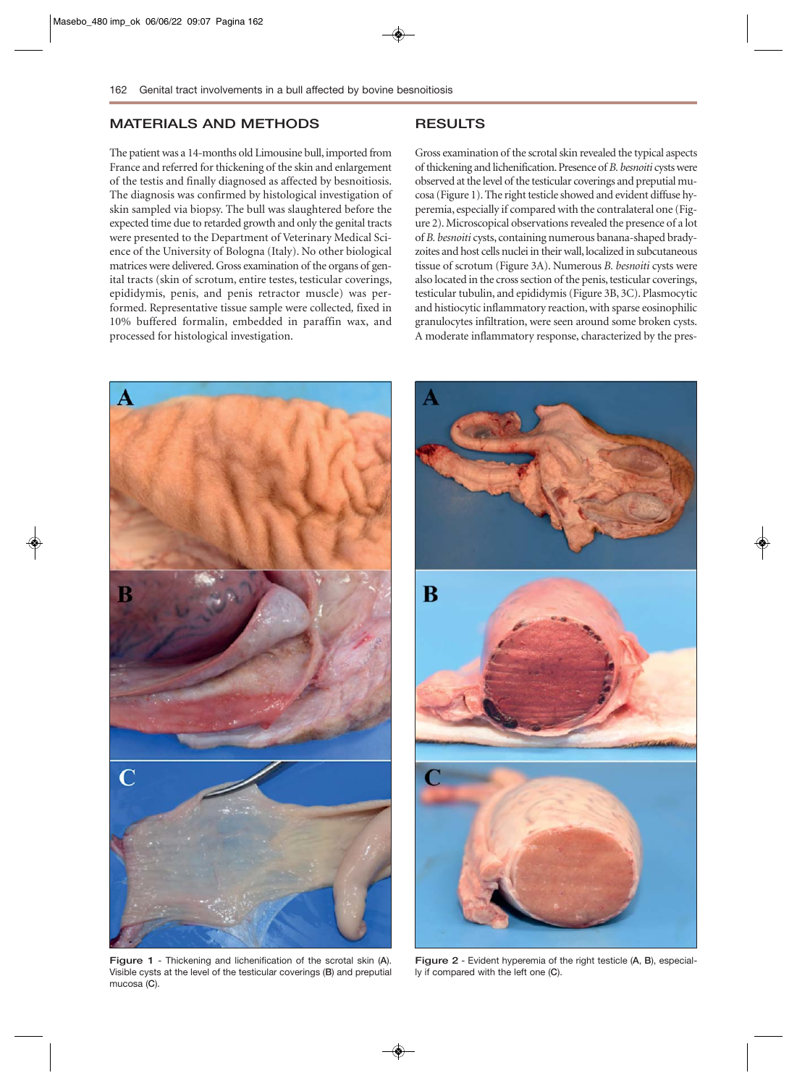# **MATERIALS AND METHODS**

### The patient was a 14-months old Limousine bull, imported from France and referred for thickening of the skin and enlargement of the testis and finally diagnosed as affected by besnoitiosis. The diagnosis was confirmed by histological investigation of skin sampled via biopsy. The bull was slaughtered before the expected time due to retarded growth and only the genital tracts were presented to the Department of Veterinary Medical Science of the University of Bologna (Italy). No other biological matrices were delivered. Gross examination of the organs of genital tracts (skin of scrotum, entire testes, testicular coverings, epididymis, penis, and penis retractor muscle) was performed. Representative tissue sample were collected*,* fixed in 10% buffered formalin, embedded in paraffin wax, and processed for histological investigation.

# **RESULTS**

Gross examination of the scrotal skin revealed the typical aspects of thickening and lichenification. Presence of *B. besnoiti* cysts were observed at the level of the testicular coverings and preputial mucosa (Figure 1). The right testicle showed and evident diffuse hyperemia, especially if compared with the contralateral one (Figure 2). Microscopical observations revealed the presence of a lot of *B. besnoiti* cysts, containing numerous banana-shaped bradyzoites and host cells nuclei in their wall, localized in subcutaneous tissue of scrotum (Figure 3A). Numerous *B. besnoiti* cysts were also located in the cross section of the penis, testicular coverings, testicular tubulin, and epididymis (Figure 3B, 3C). Plasmocytic and histiocytic inflammatory reaction, with sparse eosinophilic granulocytes infiltration, were seen around some broken cysts. A moderate inflammatory response, characterized by the pres-



**Figure 1** - Thickening and lichenification of the scrotal skin (**A**). Visible cysts at the level of the testicular coverings (**B**) and preputial mucosa (**C**).



**Figure 2** - Evident hyperemia of the right testicle (**A**, **B**), especially if compared with the left one (**C**).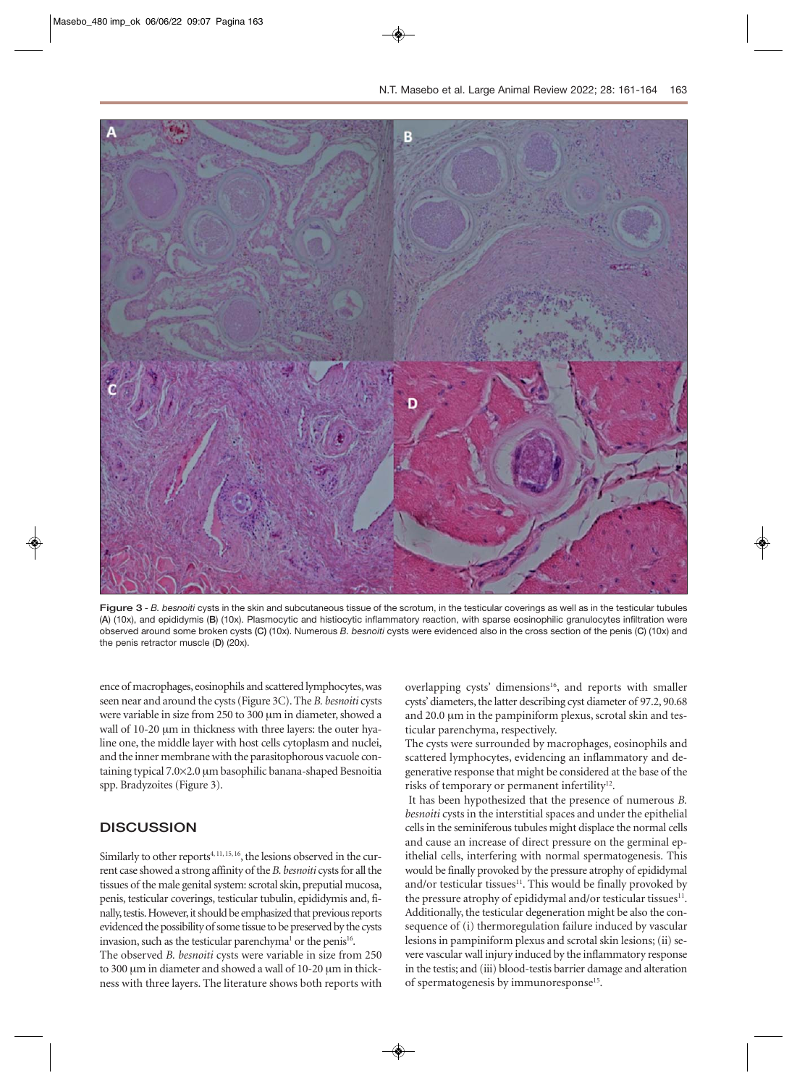

**Figure 3** - *B. besnoiti* cysts in the skin and subcutaneous tissue of the scrotum, in the testicular coverings as well as in the testicular tubules (**A**) (10x), and epididymis (**B**) (10x). Plasmocytic and histiocytic inflammatory reaction, with sparse eosinophilic granulocytes infiltration were observed around some broken cysts **(C)** (10x). Numerous *B. besnoiti* cysts were evidenced also in the cross section of the penis (**C**) (10x) and the penis retractor muscle (**D**) (20x).

ence of macrophages, eosinophils and scattered lymphocytes, was seen near and around the cysts (Figure 3C). The *B. besnoiti* cysts were variable in size from 250 to 300 μm in diameter, showed a wall of 10-20 μm in thickness with three layers: the outer hyaline one, the middle layer with host cells cytoplasm and nuclei, and the inner membrane with the parasitophorous vacuole containing typical 7.0×2.0 μm basophilic banana-shaped Besnoitia spp. Bradyzoites (Figure 3).

### **DISCUSSION**

Similarly to other reports<sup>4, 11, 15, 16</sup>, the lesions observed in the current case showed a strong affinity of the *B. besnoiti* cysts for all the tissues of the male genital system: scrotal skin, preputial mucosa, penis, testicular coverings, testicular tubulin, epididymis and, finally, testis. However, it should be emphasized that previous reports evidenced the possibility of some tissue to be preserved by the cysts invasion, such as the testicular parenchyma<sup>1</sup> or the penis<sup>16</sup>.

The observed *B. besnoiti* cysts were variable in size from 250 to 300 μm in diameter and showed a wall of 10-20 μm in thickness with three layers. The literature shows both reports with

overlapping cysts' dimensions<sup>16</sup>, and reports with smaller cysts' diameters, the latter describing cyst diameter of 97.2, 90.68 and 20.0 μm in the pampiniform plexus, scrotal skin and testicular parenchyma, respectively.

The cysts were surrounded by macrophages, eosinophils and scattered lymphocytes, evidencing an inflammatory and degenerative response that might be considered at the base of the risks of temporary or permanent infertility<sup>12</sup>.

It has been hypothesized that the presence of numerous *B. besnoiti* cysts in the interstitial spaces and under the epithelial cells in the seminiferous tubules might displace the normal cells and cause an increase of direct pressure on the germinal epithelial cells, interfering with normal spermatogenesis. This would be finally provoked by the pressure atrophy of epididymal and/or testicular tissues<sup>11</sup>. This would be finally provoked by the pressure atrophy of epididymal and/or testicular tissues<sup>11</sup>. Additionally, the testicular degeneration might be also the consequence of (i) thermoregulation failure induced by vascular lesions in pampiniform plexus and scrotal skin lesions; (ii) severe vascular wall injury induced by the inflammatory response in the testis; and (iii) blood-testis barrier damage and alteration of spermatogenesis by immunoresponse<sup>15</sup>.